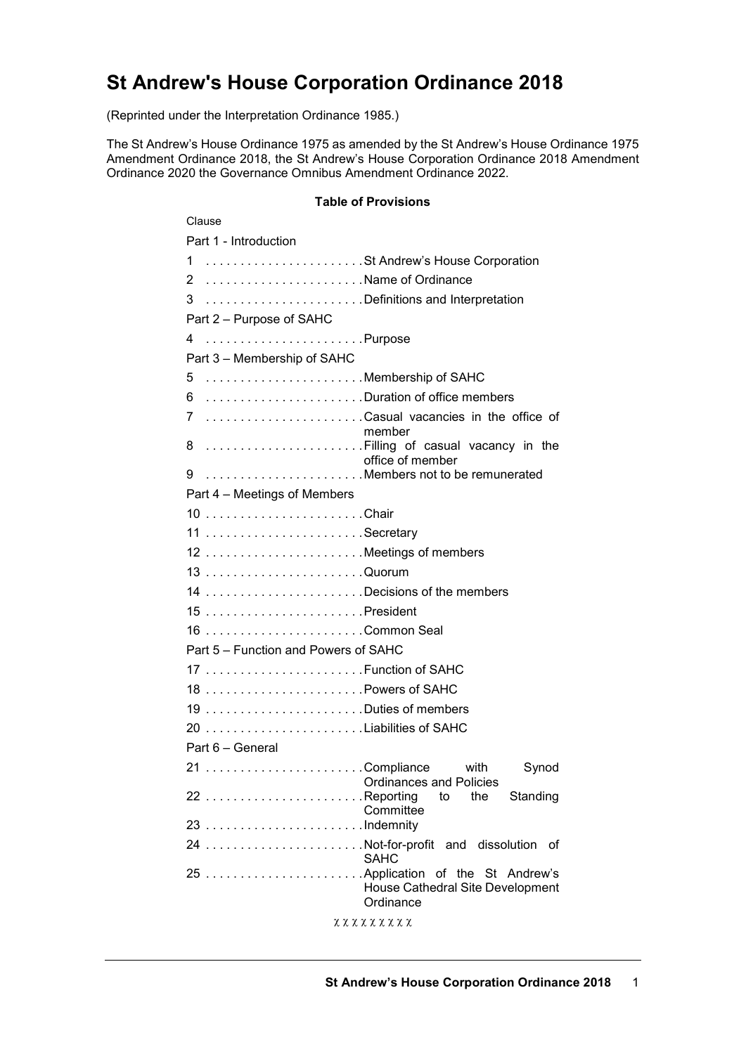# **St Andrew's House Corporation Ordinance 2018**

(Reprinted under the Interpretation Ordinance 1985.)

The St Andrew's House Ordinance 1975 as amended by the St Andrew's House Ordinance 1975 Amendment Ordinance 2018, the St Andrew's House Corporation Ordinance 2018 Amendment Ordinance 2020 the Governance Omnibus Amendment Ordinance 2022.

#### **Table of Provisions**

| Clause                                              |
|-----------------------------------------------------|
| Part 1 - Introduction                               |
| 1 St Andrew's House Corporation                     |
| 2 Name of Ordinance                                 |
| 3 Definitions and Interpretation                    |
| Part 2 - Purpose of SAHC                            |
| 4                                                   |
| Part 3 - Membership of SAHC                         |
| Membership of SAHC<br>5                             |
| 6 Duration of office members                        |
| 7 Casual vacancies in the office of                 |
| member                                              |
| 8 Filling of casual vacancy in the                  |
| office of member<br>9 Members not to be remunerated |
| Part 4 – Meetings of Members                        |
| 10 Chair                                            |
| 11 Secretary                                        |
| 12 Meetings of members                              |
|                                                     |
| 14 Decisions of the members                         |
|                                                     |
| 16 Common Seal                                      |
| Part 5 - Function and Powers of SAHC                |
|                                                     |
|                                                     |
| 18 Powers of SAHC                                   |
| 19 Duties of members                                |
| 20 Liabilities of SAHC                              |
| Part 6 - General                                    |
| 21 Compliance<br>with<br>Synod                      |
| Ordinances and Policies<br>the<br>Standing<br>to    |
| Committee                                           |
|                                                     |
| 24 Not-for-profit and dissolution of<br><b>SAHC</b> |
|                                                     |
| House Cathedral Site Development                    |
| Ordinance                                           |
| <b>χχχχχχχχχ</b>                                    |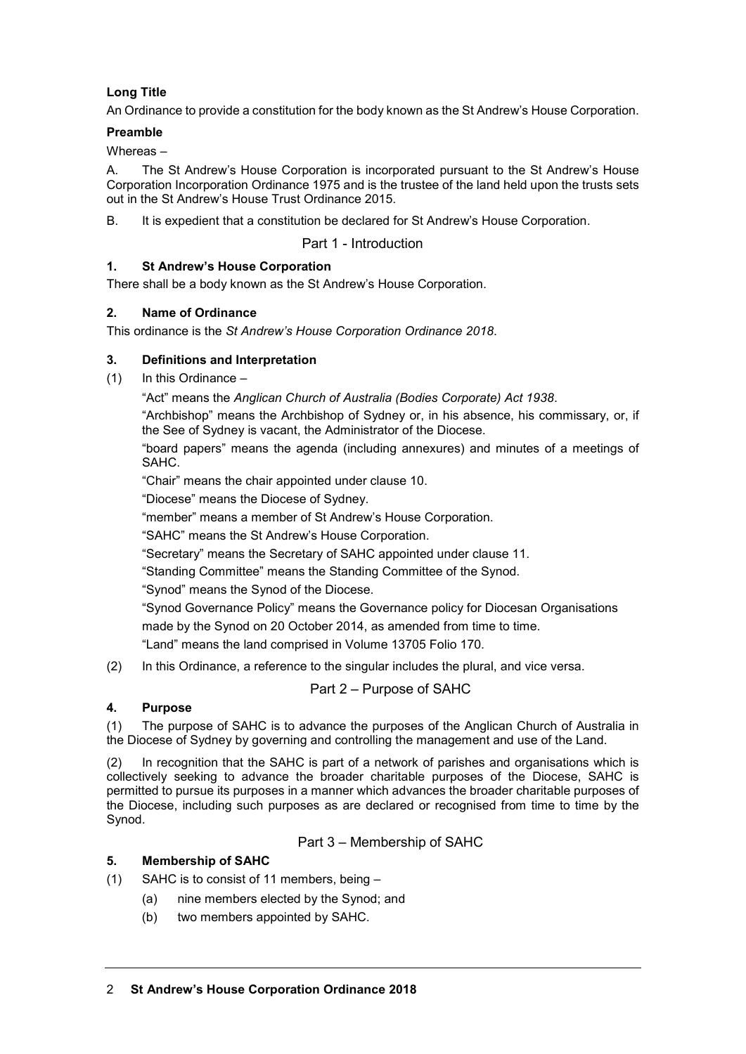# **Long Title**

An Ordinance to provide a constitution for the body known as the St Andrew's House Corporation.

## **Preamble**

Whereas –

A. The St Andrew's House Corporation is incorporated pursuant to the St Andrew's House Corporation Incorporation Ordinance 1975 and is the trustee of the land held upon the trusts sets out in the St Andrew's House Trust Ordinance 2015.

B. It is expedient that a constitution be declared for St Andrew's House Corporation.

Part 1 - Introduction

# **1. St Andrew's House Corporation**

There shall be a body known as the St Andrew's House Corporation.

## **2. Name of Ordinance**

This ordinance is the *St Andrew's House Corporation Ordinance 2018*.

# **3. Definitions and Interpretation**

(1) In this Ordinance –

"Act" means the *Anglican Church of Australia (Bodies Corporate) Act 1938*.

"Archbishop" means the Archbishop of Sydney or, in his absence, his commissary, or, if the See of Sydney is vacant, the Administrator of the Diocese.

"board papers" means the agenda (including annexures) and minutes of a meetings of SAHC.

"Chair" means the chair appointed under clause 10.

"Diocese" means the Diocese of Sydney.

"member" means a member of St Andrew's House Corporation.

"SAHC" means the St Andrew's House Corporation.

"Secretary" means the Secretary of SAHC appointed under clause 11.

"Standing Committee" means the Standing Committee of the Synod.

"Synod" means the Synod of the Diocese.

"Synod Governance Policy" means the Governance policy for Diocesan Organisations made by the Synod on 20 October 2014, as amended from time to time.

"Land" means the land comprised in Volume 13705 Folio 170.

(2) In this Ordinance, a reference to the singular includes the plural, and vice versa.

# Part 2 – Purpose of SAHC

#### **4. Purpose**

(1) The purpose of SAHC is to advance the purposes of the Anglican Church of Australia in the Diocese of Sydney by governing and controlling the management and use of the Land.

(2) In recognition that the SAHC is part of a network of parishes and organisations which is collectively seeking to advance the broader charitable purposes of the Diocese, SAHC is permitted to pursue its purposes in a manner which advances the broader charitable purposes of the Diocese, including such purposes as are declared or recognised from time to time by the Synod.

Part 3 – Membership of SAHC

# **5. Membership of SAHC**

(1) SAHC is to consist of 11 members, being –

- (a) nine members elected by the Synod; and
- (b) two members appointed by SAHC.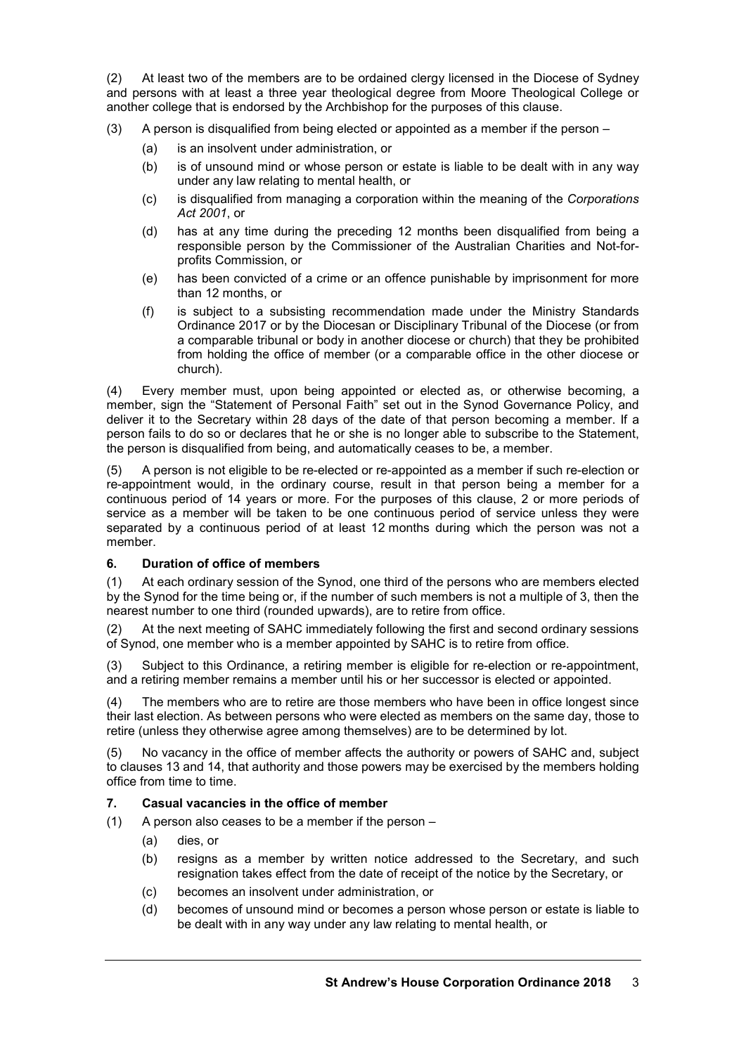(2) At least two of the members are to be ordained clergy licensed in the Diocese of Sydney and persons with at least a three year theological degree from Moore Theological College or another college that is endorsed by the Archbishop for the purposes of this clause.

- (3) A person is disqualified from being elected or appointed as a member if the person
	- (a) is an insolvent under administration, or
	- (b) is of unsound mind or whose person or estate is liable to be dealt with in any way under any law relating to mental health, or
	- (c) is disqualified from managing a corporation within the meaning of the *Corporations Act 2001*, or
	- (d) has at any time during the preceding 12 months been disqualified from being a responsible person by the Commissioner of the Australian Charities and Not-forprofits Commission, or
	- (e) has been convicted of a crime or an offence punishable by imprisonment for more than 12 months, or
	- (f) is subject to a subsisting recommendation made under the Ministry Standards Ordinance 2017 or by the Diocesan or Disciplinary Tribunal of the Diocese (or from a comparable tribunal or body in another diocese or church) that they be prohibited from holding the office of member (or a comparable office in the other diocese or church).

(4) Every member must, upon being appointed or elected as, or otherwise becoming, a member, sign the "Statement of Personal Faith" set out in the Synod Governance Policy, and deliver it to the Secretary within 28 days of the date of that person becoming a member. If a person fails to do so or declares that he or she is no longer able to subscribe to the Statement, the person is disqualified from being, and automatically ceases to be, a member.

(5) A person is not eligible to be re-elected or re-appointed as a member if such re-election or re-appointment would, in the ordinary course, result in that person being a member for a continuous period of 14 years or more. For the purposes of this clause, 2 or more periods of service as a member will be taken to be one continuous period of service unless they were separated by a continuous period of at least 12 months during which the person was not a member.

#### **6. Duration of office of members**

(1) At each ordinary session of the Synod, one third of the persons who are members elected by the Synod for the time being or, if the number of such members is not a multiple of 3, then the nearest number to one third (rounded upwards), are to retire from office.

(2) At the next meeting of SAHC immediately following the first and second ordinary sessions of Synod, one member who is a member appointed by SAHC is to retire from office.

(3) Subject to this Ordinance, a retiring member is eligible for re-election or re-appointment, and a retiring member remains a member until his or her successor is elected or appointed.

(4) The members who are to retire are those members who have been in office longest since their last election. As between persons who were elected as members on the same day, those to retire (unless they otherwise agree among themselves) are to be determined by lot.

(5) No vacancy in the office of member affects the authority or powers of SAHC and, subject to clauses 13 and 14, that authority and those powers may be exercised by the members holding office from time to time.

#### **7. Casual vacancies in the office of member**

- (1) A person also ceases to be a member if the person
	- (a) dies, or
	- (b) resigns as a member by written notice addressed to the Secretary, and such resignation takes effect from the date of receipt of the notice by the Secretary, or
	- (c) becomes an insolvent under administration, or
	- (d) becomes of unsound mind or becomes a person whose person or estate is liable to be dealt with in any way under any law relating to mental health, or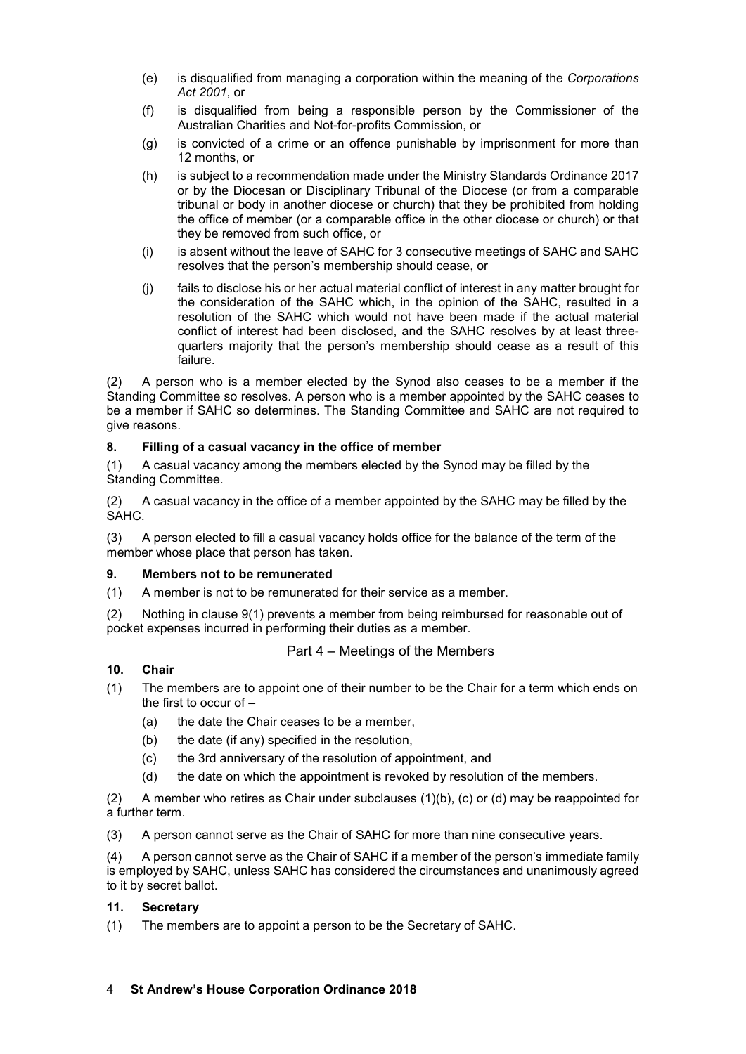- (e) is disqualified from managing a corporation within the meaning of the *Corporations Act 2001*, or
- (f) is disqualified from being a responsible person by the Commissioner of the Australian Charities and Not-for-profits Commission, or
- (g) is convicted of a crime or an offence punishable by imprisonment for more than 12 months, or
- (h) is subject to a recommendation made under the Ministry Standards Ordinance 2017 or by the Diocesan or Disciplinary Tribunal of the Diocese (or from a comparable tribunal or body in another diocese or church) that they be prohibited from holding the office of member (or a comparable office in the other diocese or church) or that they be removed from such office, or
- (i) is absent without the leave of SAHC for 3 consecutive meetings of SAHC and SAHC resolves that the person's membership should cease, or
- (j) fails to disclose his or her actual material conflict of interest in any matter brought for the consideration of the SAHC which, in the opinion of the SAHC, resulted in a resolution of the SAHC which would not have been made if the actual material conflict of interest had been disclosed, and the SAHC resolves by at least threequarters majority that the person's membership should cease as a result of this failure.

(2) A person who is a member elected by the Synod also ceases to be a member if the Standing Committee so resolves. A person who is a member appointed by the SAHC ceases to be a member if SAHC so determines. The Standing Committee and SAHC are not required to give reasons.

## **8. Filling of a casual vacancy in the office of member**

(1) A casual vacancy among the members elected by the Synod may be filled by the Standing Committee.

(2) A casual vacancy in the office of a member appointed by the SAHC may be filled by the SAHC.

(3) A person elected to fill a casual vacancy holds office for the balance of the term of the member whose place that person has taken.

#### **9. Members not to be remunerated**

(1) A member is not to be remunerated for their service as a member.

(2) Nothing in clause 9(1) prevents a member from being reimbursed for reasonable out of pocket expenses incurred in performing their duties as a member.

#### Part 4 – Meetings of the Members

### **10. Chair**

- (1) The members are to appoint one of their number to be the Chair for a term which ends on the first to occur of –
	- (a) the date the Chair ceases to be a member,
	- (b) the date (if any) specified in the resolution,
	- (c) the 3rd anniversary of the resolution of appointment, and
	- (d) the date on which the appointment is revoked by resolution of the members.

(2) A member who retires as Chair under subclauses (1)(b), (c) or (d) may be reappointed for a further term.

(3) A person cannot serve as the Chair of SAHC for more than nine consecutive years.

(4) A person cannot serve as the Chair of SAHC if a member of the person's immediate family is employed by SAHC, unless SAHC has considered the circumstances and unanimously agreed to it by secret ballot.

#### **11. Secretary**

(1) The members are to appoint a person to be the Secretary of SAHC.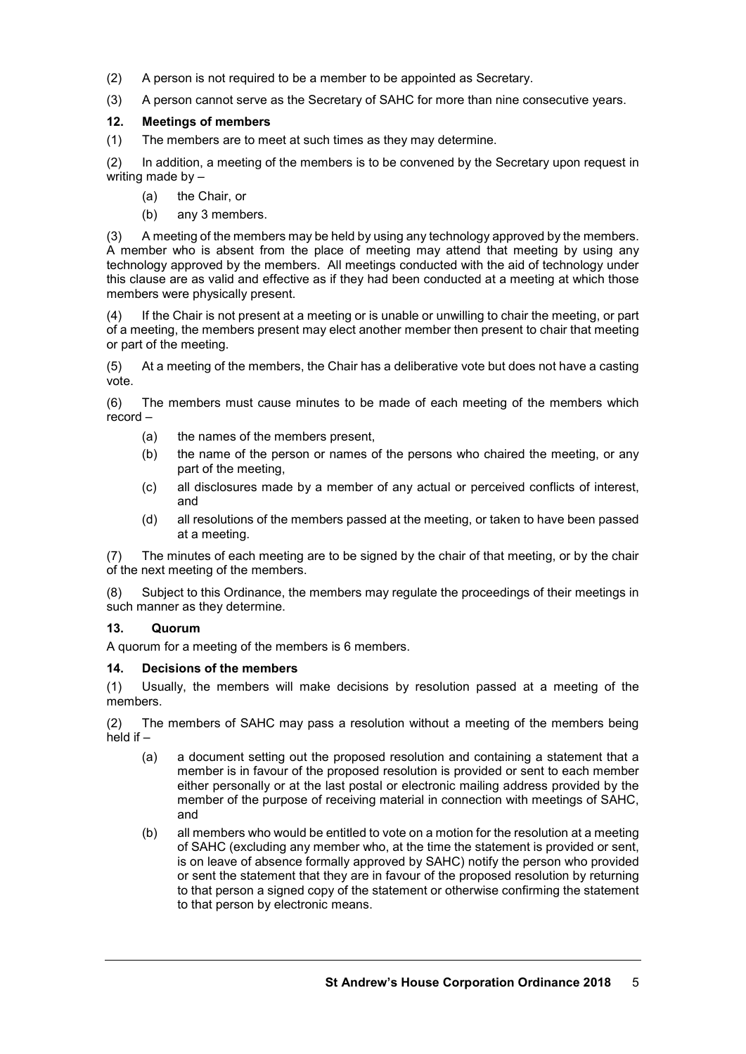- (2) A person is not required to be a member to be appointed as Secretary.
- (3) A person cannot serve as the Secretary of SAHC for more than nine consecutive years.

## **12. Meetings of members**

(1) The members are to meet at such times as they may determine.

(2) In addition, a meeting of the members is to be convened by the Secretary upon request in writing made by -

- (a) the Chair, or
- (b) any 3 members.

(3) A meeting of the members may be held by using any technology approved by the members. A member who is absent from the place of meeting may attend that meeting by using any technology approved by the members. All meetings conducted with the aid of technology under this clause are as valid and effective as if they had been conducted at a meeting at which those members were physically present.

(4) If the Chair is not present at a meeting or is unable or unwilling to chair the meeting, or part of a meeting, the members present may elect another member then present to chair that meeting or part of the meeting.

(5) At a meeting of the members, the Chair has a deliberative vote but does not have a casting vote.

(6) The members must cause minutes to be made of each meeting of the members which record –

- (a) the names of the members present,
- (b) the name of the person or names of the persons who chaired the meeting, or any part of the meeting,
- (c) all disclosures made by a member of any actual or perceived conflicts of interest, and
- (d) all resolutions of the members passed at the meeting, or taken to have been passed at a meeting.

(7) The minutes of each meeting are to be signed by the chair of that meeting, or by the chair of the next meeting of the members.

(8) Subject to this Ordinance, the members may regulate the proceedings of their meetings in such manner as they determine.

# **13. Quorum**

A quorum for a meeting of the members is 6 members.

#### **14. Decisions of the members**

(1) Usually, the members will make decisions by resolution passed at a meeting of the members.

(2) The members of SAHC may pass a resolution without a meeting of the members being held if  $-$ 

- (a) a document setting out the proposed resolution and containing a statement that a member is in favour of the proposed resolution is provided or sent to each member either personally or at the last postal or electronic mailing address provided by the member of the purpose of receiving material in connection with meetings of SAHC, and
- (b) all members who would be entitled to vote on a motion for the resolution at a meeting of SAHC (excluding any member who, at the time the statement is provided or sent, is on leave of absence formally approved by SAHC) notify the person who provided or sent the statement that they are in favour of the proposed resolution by returning to that person a signed copy of the statement or otherwise confirming the statement to that person by electronic means.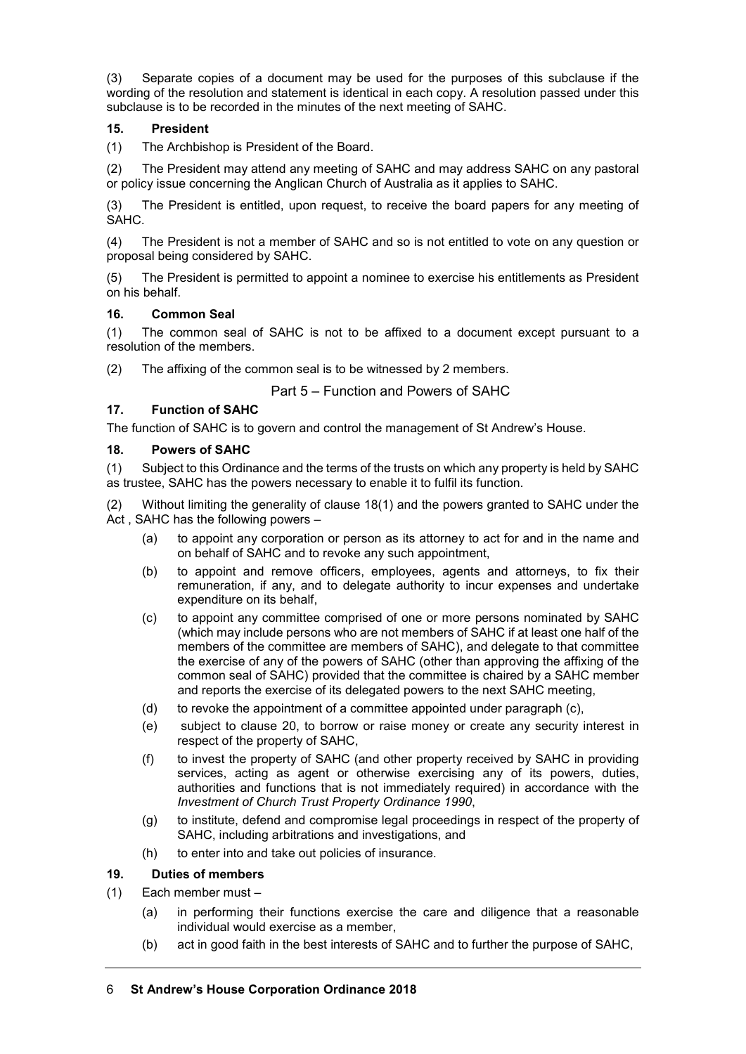(3) Separate copies of a document may be used for the purposes of this subclause if the wording of the resolution and statement is identical in each copy. A resolution passed under this subclause is to be recorded in the minutes of the next meeting of SAHC.

### **15. President**

(1) The Archbishop is President of the Board.

(2) The President may attend any meeting of SAHC and may address SAHC on any pastoral or policy issue concerning the Anglican Church of Australia as it applies to SAHC.

(3) The President is entitled, upon request, to receive the board papers for any meeting of SAHC.

(4) The President is not a member of SAHC and so is not entitled to vote on any question or proposal being considered by SAHC.

(5) The President is permitted to appoint a nominee to exercise his entitlements as President on his behalf.

#### **16. Common Seal**

(1) The common seal of SAHC is not to be affixed to a document except pursuant to a resolution of the members.

(2) The affixing of the common seal is to be witnessed by 2 members.

# Part 5 – Function and Powers of SAHC

#### **17. Function of SAHC**

The function of SAHC is to govern and control the management of St Andrew's House.

#### **18. Powers of SAHC**

(1) Subject to this Ordinance and the terms of the trusts on which any property is held by SAHC as trustee, SAHC has the powers necessary to enable it to fulfil its function.

(2) Without limiting the generality of clause 18(1) and the powers granted to SAHC under the Act , SAHC has the following powers –

- (a) to appoint any corporation or person as its attorney to act for and in the name and on behalf of SAHC and to revoke any such appointment,
- (b) to appoint and remove officers, employees, agents and attorneys, to fix their remuneration, if any, and to delegate authority to incur expenses and undertake expenditure on its behalf,
- (c) to appoint any committee comprised of one or more persons nominated by SAHC (which may include persons who are not members of SAHC if at least one half of the members of the committee are members of SAHC), and delegate to that committee the exercise of any of the powers of SAHC (other than approving the affixing of the common seal of SAHC) provided that the committee is chaired by a SAHC member and reports the exercise of its delegated powers to the next SAHC meeting,
- (d) to revoke the appointment of a committee appointed under paragraph  $(c)$ ,
- (e) subject to clause 20, to borrow or raise money or create any security interest in respect of the property of SAHC,
- (f) to invest the property of SAHC (and other property received by SAHC in providing services, acting as agent or otherwise exercising any of its powers, duties, authorities and functions that is not immediately required) in accordance with the *Investment of Church Trust Property Ordinance 1990*,
- (g) to institute, defend and compromise legal proceedings in respect of the property of SAHC, including arbitrations and investigations, and
- (h) to enter into and take out policies of insurance.

#### **19. Duties of members**

- (1) Each member must
	- (a) in performing their functions exercise the care and diligence that a reasonable individual would exercise as a member,
	- (b) act in good faith in the best interests of SAHC and to further the purpose of SAHC,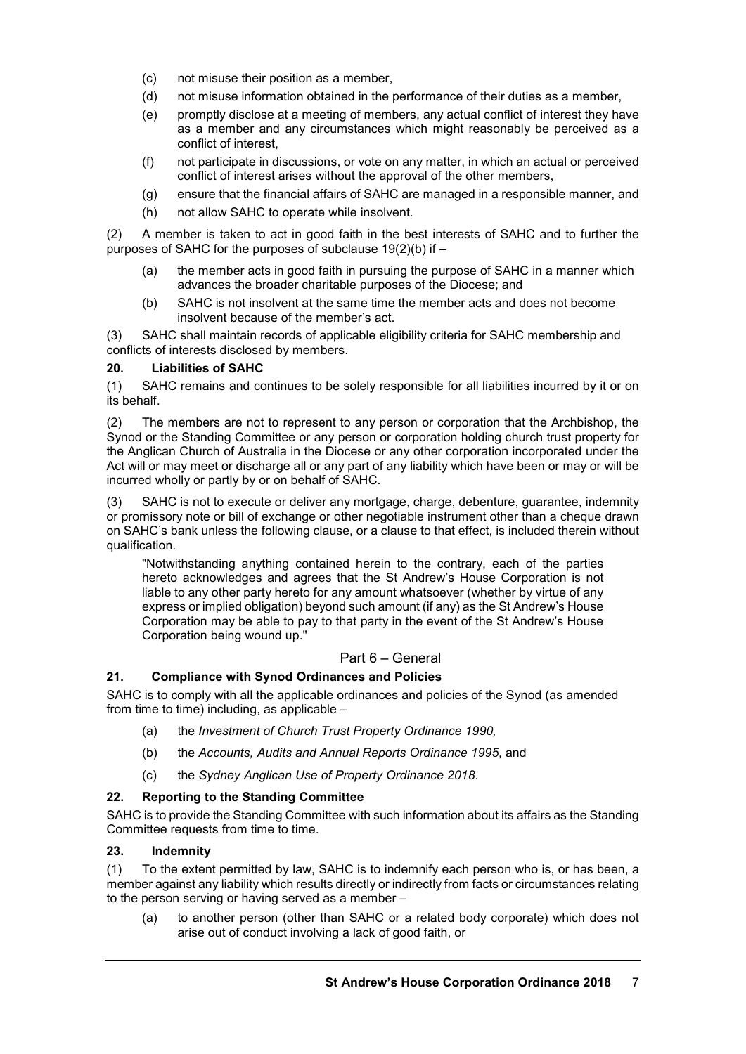- (c) not misuse their position as a member,
- (d) not misuse information obtained in the performance of their duties as a member,
- (e) promptly disclose at a meeting of members, any actual conflict of interest they have as a member and any circumstances which might reasonably be perceived as a conflict of interest,
- (f) not participate in discussions, or vote on any matter, in which an actual or perceived conflict of interest arises without the approval of the other members,
- (g) ensure that the financial affairs of SAHC are managed in a responsible manner, and
- (h) not allow SAHC to operate while insolvent.

(2) A member is taken to act in good faith in the best interests of SAHC and to further the purposes of SAHC for the purposes of subclause  $19(2)(b)$  if  $-$ 

- (a) the member acts in good faith in pursuing the purpose of SAHC in a manner which advances the broader charitable purposes of the Diocese; and
- (b) SAHC is not insolvent at the same time the member acts and does not become insolvent because of the member's act.

(3) SAHC shall maintain records of applicable eligibility criteria for SAHC membership and conflicts of interests disclosed by members.

#### **20. Liabilities of SAHC**

(1) SAHC remains and continues to be solely responsible for all liabilities incurred by it or on its behalf.

(2) The members are not to represent to any person or corporation that the Archbishop, the Synod or the Standing Committee or any person or corporation holding church trust property for the Anglican Church of Australia in the Diocese or any other corporation incorporated under the Act will or may meet or discharge all or any part of any liability which have been or may or will be incurred wholly or partly by or on behalf of SAHC.

(3) SAHC is not to execute or deliver any mortgage, charge, debenture, guarantee, indemnity or promissory note or bill of exchange or other negotiable instrument other than a cheque drawn on SAHC's bank unless the following clause, or a clause to that effect, is included therein without qualification.

"Notwithstanding anything contained herein to the contrary, each of the parties hereto acknowledges and agrees that the St Andrew's House Corporation is not liable to any other party hereto for any amount whatsoever (whether by virtue of any express or implied obligation) beyond such amount (if any) as the St Andrew's House Corporation may be able to pay to that party in the event of the St Andrew's House Corporation being wound up."

### Part 6 – General

#### **21. Compliance with Synod Ordinances and Policies**

SAHC is to comply with all the applicable ordinances and policies of the Synod (as amended from time to time) including, as applicable –

- (a) the *Investment of Church Trust Property Ordinance 1990,*
- (b) the *Accounts, Audits and Annual Reports Ordinance 1995*, and
- (c) the *Sydney Anglican Use of Property Ordinance 2018*.

#### **22. Reporting to the Standing Committee**

SAHC is to provide the Standing Committee with such information about its affairs as the Standing Committee requests from time to time.

#### **23. Indemnity**

(1) To the extent permitted by law, SAHC is to indemnify each person who is, or has been, a member against any liability which results directly or indirectly from facts or circumstances relating to the person serving or having served as a member –

(a) to another person (other than SAHC or a related body corporate) which does not arise out of conduct involving a lack of good faith, or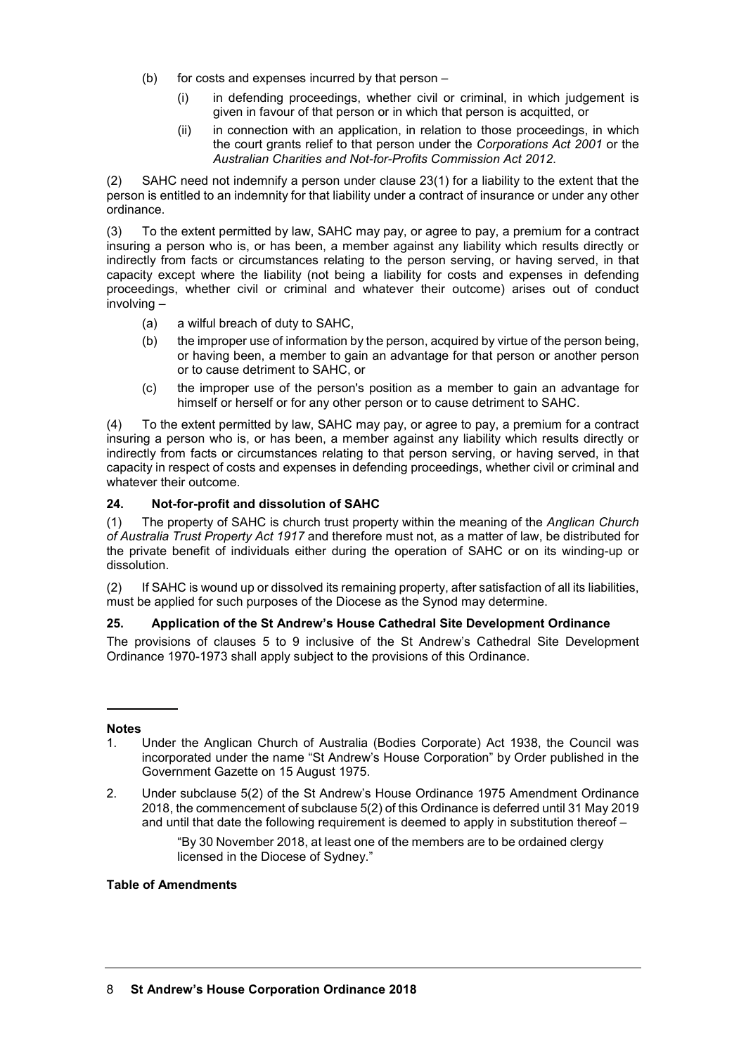- (b) for costs and expenses incurred by that person  $-$ 
	- (i) in defending proceedings, whether civil or criminal, in which judgement is given in favour of that person or in which that person is acquitted, or
	- (ii) in connection with an application, in relation to those proceedings, in which the court grants relief to that person under the *Corporations Act 2001* or the *Australian Charities and Not-for-Profits Commission Act 2012*.

(2) SAHC need not indemnify a person under clause 23(1) for a liability to the extent that the person is entitled to an indemnity for that liability under a contract of insurance or under any other ordinance.

(3) To the extent permitted by law, SAHC may pay, or agree to pay, a premium for a contract insuring a person who is, or has been, a member against any liability which results directly or indirectly from facts or circumstances relating to the person serving, or having served, in that capacity except where the liability (not being a liability for costs and expenses in defending proceedings, whether civil or criminal and whatever their outcome) arises out of conduct involving –

- (a) a wilful breach of duty to SAHC,
- (b) the improper use of information by the person, acquired by virtue of the person being, or having been, a member to gain an advantage for that person or another person or to cause detriment to SAHC, or
- (c) the improper use of the person's position as a member to gain an advantage for himself or herself or for any other person or to cause detriment to SAHC.

(4) To the extent permitted by law, SAHC may pay, or agree to pay, a premium for a contract insuring a person who is, or has been, a member against any liability which results directly or indirectly from facts or circumstances relating to that person serving, or having served, in that capacity in respect of costs and expenses in defending proceedings, whether civil or criminal and whatever their outcome.

## **24. Not-for-profit and dissolution of SAHC**

(1) The property of SAHC is church trust property within the meaning of the *Anglican Church of Australia Trust Property Act 1917* and therefore must not, as a matter of law, be distributed for the private benefit of individuals either during the operation of SAHC or on its winding-up or dissolution.

(2) If SAHC is wound up or dissolved its remaining property, after satisfaction of all its liabilities, must be applied for such purposes of the Diocese as the Synod may determine.

#### **25. Application of the St Andrew's House Cathedral Site Development Ordinance**

The provisions of clauses 5 to 9 inclusive of the St Andrew's Cathedral Site Development Ordinance 1970-1973 shall apply subject to the provisions of this Ordinance.

#### **Notes**

- 1. Under the Anglican Church of Australia (Bodies Corporate) Act 1938, the Council was incorporated under the name "St Andrew's House Corporation" by Order published in the Government Gazette on 15 August 1975.
- 2. Under subclause 5(2) of the St Andrew's House Ordinance 1975 Amendment Ordinance 2018, the commencement of subclause 5(2) of this Ordinance is deferred until 31 May 2019 and until that date the following requirement is deemed to apply in substitution thereof –

"By 30 November 2018, at least one of the members are to be ordained clergy licensed in the Diocese of Sydney."

#### **Table of Amendments**